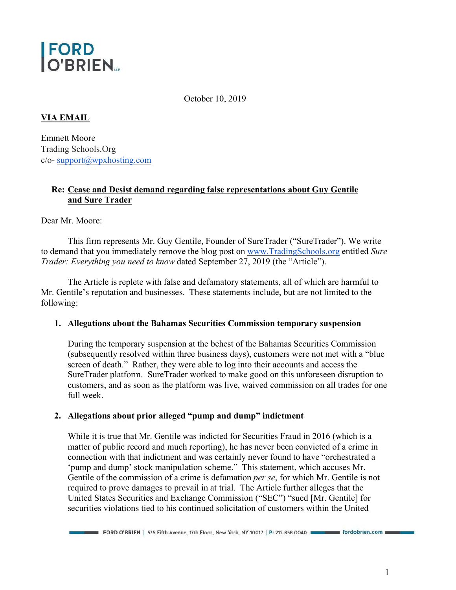

October 10, 2019

# **VIA EMAIL**

Emmett Moore Trading Schools.Org  $c$ /o- support $(a)$ wpxhosting.com

### **Re: Cease and Desist demand regarding false representations about Guy Gentile and Sure Trader**

Dear Mr. Moore:

 This firm represents Mr. Guy Gentile, Founder of SureTrader ("SureTrader"). We write to demand that you immediately remove the blog post on www.TradingSchools.org entitled *Sure Trader: Everything you need to know* dated September 27, 2019 (the "Article").

 The Article is replete with false and defamatory statements, all of which are harmful to Mr. Gentile's reputation and businesses. These statements include, but are not limited to the following:

#### **1. Allegations about the Bahamas Securities Commission temporary suspension**

During the temporary suspension at the behest of the Bahamas Securities Commission (subsequently resolved within three business days), customers were not met with a "blue screen of death." Rather, they were able to log into their accounts and access the SureTrader platform. SureTrader worked to make good on this unforeseen disruption to customers, and as soon as the platform was live, waived commission on all trades for one full week.

# **2. Allegations about prior alleged "pump and dump" indictment**

While it is true that Mr. Gentile was indicted for Securities Fraud in 2016 (which is a matter of public record and much reporting), he has never been convicted of a crime in connection with that indictment and was certainly never found to have "orchestrated a 'pump and dump' stock manipulation scheme." This statement, which accuses Mr. Gentile of the commission of a crime is defamation *per se*, for which Mr. Gentile is not required to prove damages to prevail in at trial. The Article further alleges that the United States Securities and Exchange Commission ("SEC") "sued [Mr. Gentile] for securities violations tied to his continued solicitation of customers within the United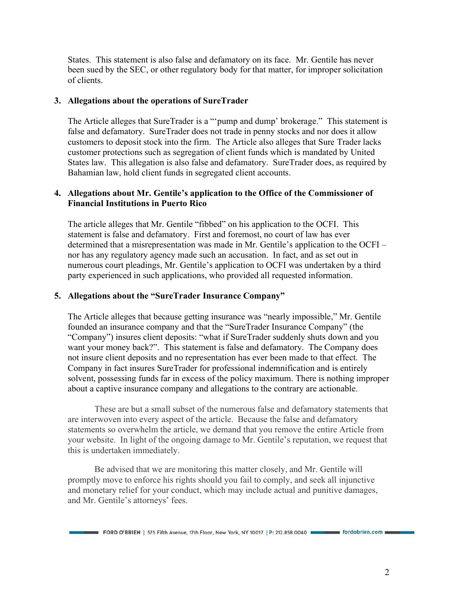States. This statement is also false and defamatory on its face. Mr. Gentile has never been sued by the SEC, or other regulatory body for that matter, for improper solicitation of clients.

### **3. Allegations about the operations of SureTrader**

The Article alleges that SureTrader is a "'pump and dump' brokerage." This statement is false and defamatory. SureTrader does not trade in penny stocks and nor does it allow customers to deposit stock into the firm. The Article also alleges that Sure Trader lacks customer protections such as segregation of client funds which is mandated by United States law. This allegation is also false and defamatory. SureTrader does, as required by Bahamian law, hold client funds in segregated client accounts.

## **4. Allegations about Mr. Gentile's application to the Office of the Commissioner of Financial Institutions in Puerto Rico**

The article alleges that Mr. Gentile "fibbed" on his application to the OCFI. This statement is false and defamatory. First and foremost, no court of law has ever determined that a misrepresentation was made in Mr. Gentile's application to the OCFI – nor has any regulatory agency made such an accusation. In fact, and as set out in numerous court pleadings, Mr. Gentile's application to OCFI was undertaken by a third party experienced in such applications, who provided all requested information.

#### **5. Allegations about the "SureTrader Insurance Company"**

The Article alleges that because getting insurance was "nearly impossible," Mr. Gentile founded an insurance company and that the "SureTrader Insurance Company" (the "Company") insures client deposits: "what if SureTrader suddenly shuts down and you want your money back?". This statement is false and defamatory. The Company does not insure client deposits and no representation has ever been made to that effect. The Company in fact insures SureTrader for professional indemnification and is entirely solvent, possessing funds far in excess of the policy maximum. There is nothing improper about a captive insurance company and allegations to the contrary are actionable.

These are but a small subset of the numerous false and defamatory statements that are interwoven into every aspect of the article. Because the false and defamatory statements so overwhelm the article, we demand that you remove the entire Article from your website. In light of the ongoing damage to Mr. Gentile's reputation, we request that this is undertaken immediately.

Be advised that we are monitoring this matter closely, and Mr. Gentile will promptly move to enforce his rights should you fail to comply, and seek all injunctive and monetary relief for your conduct, which may include actual and punitive damages, and Mr. Gentile's attorneys' fees.